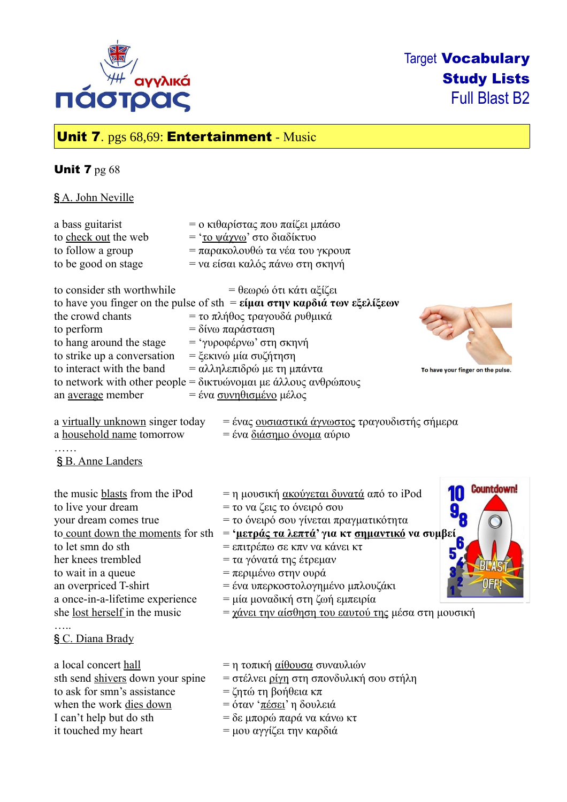

# Target Vocabulary Study Lists Full Blast B2

# Unit 7. pgs 68,69: Entertainment - Music

## **Unit 7** pg 68

§ A. John Neville

| a bass guitarist<br>to check out the web<br>to follow a group<br>to be good on stage                                                                                                                                                                                             | = ο κιθαρίστας που παίζει μπάσο<br>= ' <u>το ψάγνω</u> ' στο διαδίκτυο<br>= παρακολουθώ τα νέα του γκρουπ<br>= να είσαι καλός πάνω στη σκηνή                                                                                                                                                                                                                                                        |                                   |
|----------------------------------------------------------------------------------------------------------------------------------------------------------------------------------------------------------------------------------------------------------------------------------|-----------------------------------------------------------------------------------------------------------------------------------------------------------------------------------------------------------------------------------------------------------------------------------------------------------------------------------------------------------------------------------------------------|-----------------------------------|
| to consider sth worthwhile<br>the crowd chants<br>to perform<br>to hang around the stage<br>to strike up a conversation<br>to interact with the band<br>to network with other people = δικτυώνομαι με άλλους ανθρώπους<br>an <u>average</u> member                               | = θεωρώ ότι κάτι αξίζει<br>to have you finger on the pulse of sth = $\varepsilon$ ίμαι στην καρδιά των εξελίξεων<br>= το πλήθος τραγουδά ρυθμικά<br>= δίνω παράσταση<br>= 'γυροφέρνω' στη σκηνή<br>= ξεκινώ μία συζήτηση<br>= αλληλεπιδρώ με τη μπάντα<br>= ένα συνηθισμένο μέλος                                                                                                                   | To have your finger on the pulse. |
| a virtually unknown singer today<br>a household name tomorrow<br>§ B. Anne Landers                                                                                                                                                                                               | = ένας <u>ουσιαστικά άγνωστος</u> τραγουδιστής σήμερα<br>= ένα <u>διάσημο όνομα</u> αύριο                                                                                                                                                                                                                                                                                                           |                                   |
| the music blasts from the iPod<br>to live your dream<br>your dream comes true<br>to count down the moments for sth<br>to let smn do sth<br>her knees trembled<br>to wait in a queue<br>an overpriced T-shirt<br>a once-in-a-lifetime experience<br>she lost herself in the music | = η μουσική <u>ακούγεται δυνατά</u> από το iPod<br>= το να ζεις το όνειρό σου<br>= το όνειρό σου γίνεται πραγματικότητα<br>= 'μετράς τα λεπτά' για κτ <u>σημαντικό</u> να συμβεί<br>= επιτρέπω σε κπν να κάνει κτ<br>= τα γόνατά της έτρεμαν<br>= περιμένω στην ουρά<br>= ένα υπερκοστολογημένο μπλουζάκι<br>= μία μοναδική στη ζωή εμπειρία<br>= χάνει την αίσθηση του εαυτού της μέσα στη μουσική | <b>Countdown!</b><br>10<br>6      |
| § C. Diana Brady                                                                                                                                                                                                                                                                 |                                                                                                                                                                                                                                                                                                                                                                                                     |                                   |
| a local concert hall<br>sth send shivers down your spine<br>to ask for smn's assistance<br>when the work dies down<br>I can't help but do sth<br>it touched my heart                                                                                                             | = η τοπική <u>αίθουσα</u> συναυλιών<br>= στέλνει <u>ρίγη</u> στη σπονδυλική σου στήλη<br>= ζητώ τη βοήθεια κπ<br>= όταν 'πέσει' η δουλειά<br>$=$ δε μπορώ παρά να κάνω κτ<br>= μου αγγίζει την καρδιά                                                                                                                                                                                               |                                   |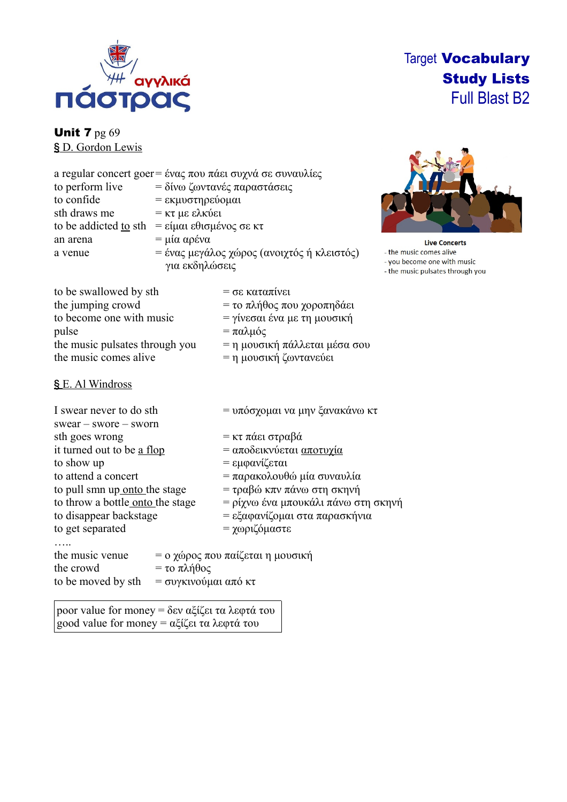

# Target Vocabulary Study Lists Full Blast B2

**Unit 7 pg 69** § D. Gordon Lewis

|                       | a regular concert goer = ένας που πάει συχνά σε συναυλίες |  |
|-----------------------|-----------------------------------------------------------|--|
| to perform live       | = δίνω ζωντανές παραστάσεις                               |  |
| to confide            | = εκμυστηρεύομαι                                          |  |
| sth draws me          | $=$ κτ με ελκύει                                          |  |
| to be addicted to sth | = είμαι εθισμένος σε κτ                                   |  |
| an arena              | $=$ μία αρένα                                             |  |
| a venue               | = ένας μεγάλος χώρος (ανοιχτός ή κλειστός)                |  |
|                       | για εκδηλώσεις                                            |  |



**Live Concerts** the music comes alive you become one with music - the music pulsates through you

| to be swallowed by sth         | $=$ σε καταπίνει                |
|--------------------------------|---------------------------------|
| the jumping crowd              | $=$ το πλήθος που χοροπηδάει    |
| to become one with music       | = γίνεσαι ένα με τη μουσική     |
| pulse                          | $=$ παλμός                      |
| the music pulsates through you | $=$ η μουσική πάλλεται μέσα σου |
| the music comes alive          | = η μουσική ζωντανεύει          |
|                                |                                 |

#### §E. Al Windross

| I swear never to do sth<br>$s$ wear – $s$ wore – $s$ worn |                                         | = υπόσχομαι να μην ξανακάνω κτ                                                                                |  |  |
|-----------------------------------------------------------|-----------------------------------------|---------------------------------------------------------------------------------------------------------------|--|--|
| sth goes wrong                                            |                                         | = κτ πάει στραβά                                                                                              |  |  |
| it turned out to be a flop                                |                                         | = αποδεικνύεται <u>αποτυγία</u>                                                                               |  |  |
| to show up                                                |                                         | = εμφανίζεται                                                                                                 |  |  |
| to attend a concert                                       |                                         | = παρακολουθώ μία συναυλία                                                                                    |  |  |
| to pull smn up onto the stage                             |                                         | $= \tau \rho \alpha \beta \omega \kappa \pi v \pi \omega \omega \sigma \tau \eta \sigma \kappa \eta \nu \eta$ |  |  |
| to throw a bottle onto the stage                          |                                         | = ρίχνω ένα μπουκάλι πάνω στη σκηνή                                                                           |  |  |
| to disappear backstage                                    |                                         | = εξαφανίζομαι στα παρασκήνια                                                                                 |  |  |
| to get separated                                          |                                         | = χωριζόμαστε                                                                                                 |  |  |
|                                                           |                                         |                                                                                                               |  |  |
| the music venue<br>the crowd<br>to be moved by sth        | $=$ το πλήθος<br>$=$ συγκινούμαι από κτ | = ο χώρος που παίζεται η μουσική                                                                              |  |  |

poor value for money = δεν αξίζει τα λεφτά του good value for money = αξίζει τα λεφτά του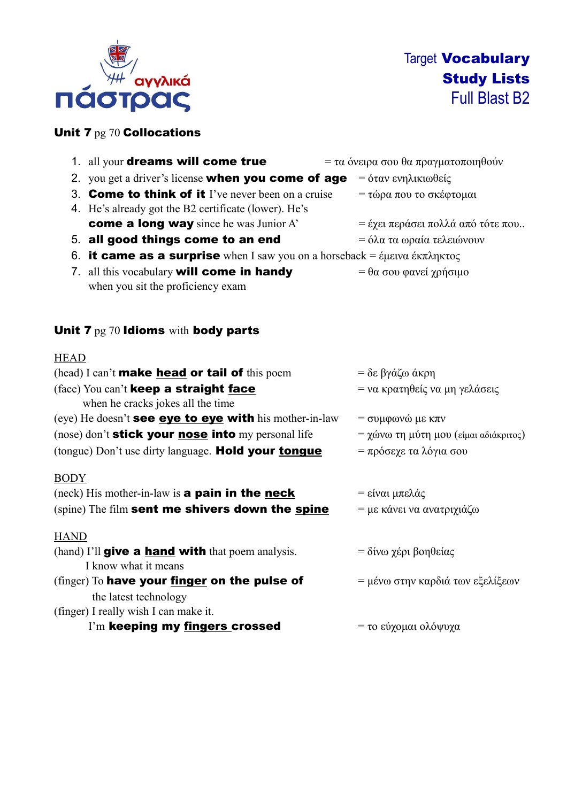

### Unit 7 pg 70 Collocations

|             | 1. all your <b>dreams will come true</b>                                                                                                                  | = τα όνειρα σου θα πραγματοποιηθούν   |
|-------------|-----------------------------------------------------------------------------------------------------------------------------------------------------------|---------------------------------------|
|             | 2. you get a driver's license <b>when you come of age</b>                                                                                                 | = όταν ενηλικιωθείς                   |
|             | 3. <b>Come to think of it</b> I've never been on a cruise<br>4. He's already got the B2 certificate (lower). He's                                         | = τώρα που το σκέφτομαι               |
|             | <b>come a long way</b> since he was Junior A'                                                                                                             | = έχει περάσει πολλά από τότε που     |
|             | 5. all good things come to an end                                                                                                                         | = όλα τα ωραία τελειώνουν             |
| 6.          | <b>it came as a surprise</b> when I saw you on a horseback = $\epsilon \mu \epsilon \nu \alpha \epsilon \kappa \pi \lambda \eta \kappa \tau \alpha \zeta$ |                                       |
|             | 7. all this vocabulary will come in handy<br>when you sit the proficiency exam                                                                            | $= \theta \alpha$ σου φανεί χρήσιμο   |
| <b>HEAD</b> |                                                                                                                                                           |                                       |
|             | (head) I can't <b>make head or tail of</b> this poem                                                                                                      | = δε βγάζω άκρη                       |
|             | (face) You can't keep a straight face<br>when he cracks jokes all the time                                                                                | = να κρατηθείς να μη γελάσεις         |
|             | (eye) He doesn't <b>see eye to eye with</b> his mother-in-law                                                                                             | $=$ συμφωνώ με κπν                    |
|             | (nose) don't <b>stick your nose into</b> my personal life                                                                                                 | = χώνω τη μύτη μου (είμαι αδιάκριτος) |
|             | (tongue) Don't use dirty language. Hold your tongue                                                                                                       | = πρόσεχε τα λόγια σου                |
| <b>BODY</b> |                                                                                                                                                           |                                       |
|             | $(neck)$ His mother-in-law is <b>a pain in the neck</b>                                                                                                   | = είναι μπελάς                        |

(spine) The film sent me shivers down the spine  $= \mu \varepsilon$  κάνει να ανατριχιάζω

#### **HAND**

| (hand) I'll <b>give a hand with</b> that poem analysis. | $=$ δίνω χέρι βοηθείας           |
|---------------------------------------------------------|----------------------------------|
| I know what it means                                    |                                  |
| (finger) To have your finger on the pulse of            | = μένω στην καρδιά των εξελίξεων |
| the latest technology                                   |                                  |

- (finger) I really wish I can make it.
	- I'm keeping my fingers crossed = το εύχομαι ολόψυχα
-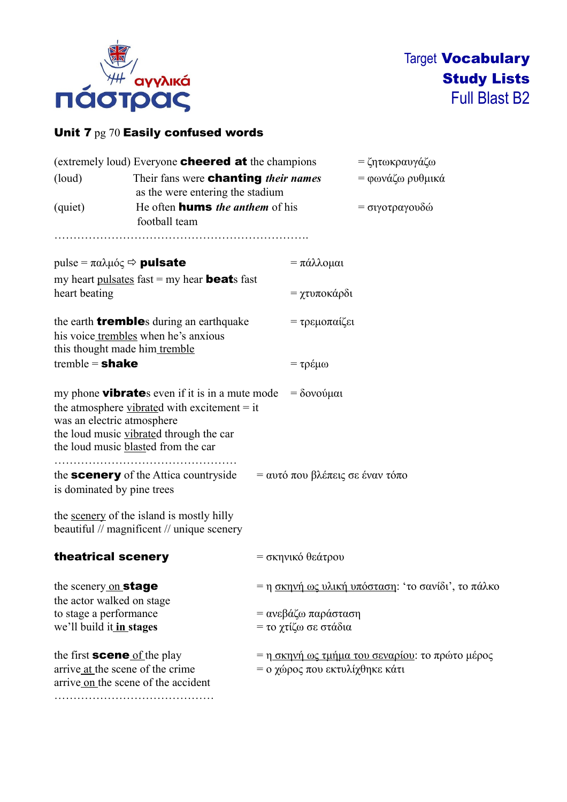

## Unit 7 pg 70 Easily confused words

|                                                   | (extremely loud) Everyone <b>cheered at</b> the champions                                                                                                                                         |                                        | = ζητωκραυγάζω                                     |
|---------------------------------------------------|---------------------------------------------------------------------------------------------------------------------------------------------------------------------------------------------------|----------------------------------------|----------------------------------------------------|
| (loud)                                            | Their fans were <b>chanting</b> their names                                                                                                                                                       |                                        | = φωνάζω ρυθμικά                                   |
|                                                   | as the were entering the stadium                                                                                                                                                                  |                                        |                                                    |
| (quiet)                                           | football team                                                                                                                                                                                     | He often <b>hums</b> the anthem of his |                                                    |
|                                                   |                                                                                                                                                                                                   |                                        |                                                    |
|                                                   | pulse = $\pi \alpha \lambda \mu \acute{o} \varsigma \Rightarrow \text{pulsate}$                                                                                                                   | $=$ πάλλομαι                           |                                                    |
|                                                   | my heart <u>pulsates</u> fast $=$ my hear <b>beat</b> s fast                                                                                                                                      |                                        |                                                    |
| heart beating                                     |                                                                                                                                                                                                   | = χτυποκάρδι                           |                                                    |
|                                                   | the earth <b>tremble</b> s during an earthquake                                                                                                                                                   | = τρεμοπαίζει                          |                                                    |
|                                                   | his voice trembles when he's anxious                                                                                                                                                              |                                        |                                                    |
| tremble = $shake$                                 | this thought made him tremble                                                                                                                                                                     |                                        |                                                    |
|                                                   |                                                                                                                                                                                                   | = τρέμω                                |                                                    |
| was an electric atmosphere                        | my phone <b>vibrate</b> s even if it is in a mute mode<br>the atmosphere vibrated with excitement $=$ it<br>the loud music vibrated through the car<br>the loud music <b>blasted</b> from the car | $=$ δονούμαι                           |                                                    |
| is dominated by pine trees                        | the <b>scenery</b> of the Attica countryside                                                                                                                                                      | $=$ αυτό που βλέπεις σε έναν τόπο      |                                                    |
|                                                   | the <u>scenery</u> of the island is mostly hilly<br>beautiful // magnificent // unique scenery                                                                                                    |                                        |                                                    |
| theatrical scenery                                |                                                                                                                                                                                                   | = σκηνικό θεάτρου                      |                                                    |
| the scenery on stage<br>the actor walked on stage |                                                                                                                                                                                                   |                                        | = η σκηνή ως υλική υπόσταση: 'το σανίδι', το πάλκο |
| to stage a performance                            |                                                                                                                                                                                                   | = ανεβάζω παράσταση                    |                                                    |
| we'll build it in stages                          |                                                                                                                                                                                                   | = το χτίζω σε στάδια                   |                                                    |
|                                                   | the first <b>scene</b> of the play<br>arrive at the scene of the crime<br>arrive on the scene of the accident                                                                                     | = ο χώρος που εκτυλίχθηκε κάτι         | = η σκηνή ως τμήμα του σεναρίου: το πρώτο μέρος    |
|                                                   |                                                                                                                                                                                                   |                                        |                                                    |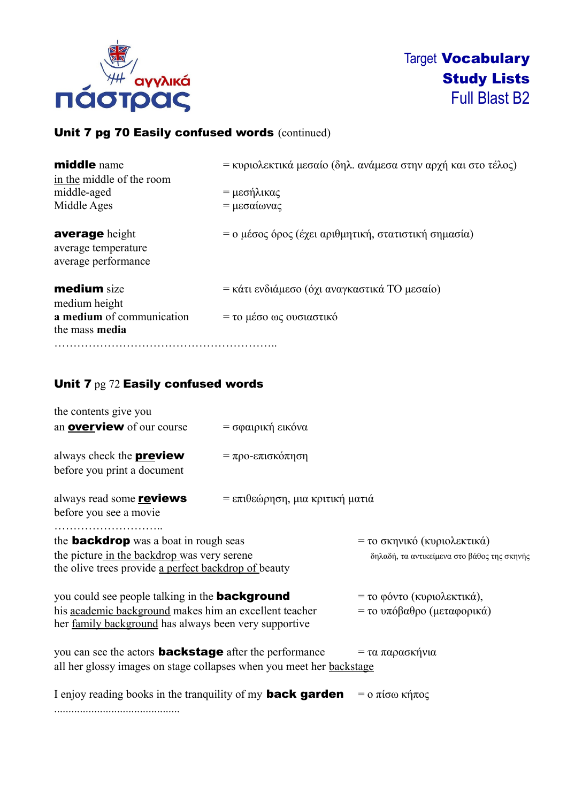

## Unit 7 pg 70 Easily confused words (continued)

| <b>middle</b> name<br>in the middle of the room                     | = κυριολεκτικά μεσαίο (δηλ. ανάμεσα στην αρχή και στο τέλος) |
|---------------------------------------------------------------------|--------------------------------------------------------------|
| middle-aged                                                         | = μεσήλικας                                                  |
| Middle Ages                                                         | = μεσαίωνας                                                  |
| <b>average</b> height<br>average temperature<br>average performance | = ο μέσος όρος (έχει αριθμητική, στατιστική σημασία)         |
| <b>medium</b> size<br>medium height                                 | = κάτι ενδιάμεσο (όχι αναγκαστικά ΤΟ μεσαίο)                 |
| a medium of communication                                           | = το μέσο ως ουσιαστικό                                      |
| the mass media                                                      |                                                              |
|                                                                     |                                                              |

### Unit 7 pg 72 Easily confused words

| the contents give you                                                                                                                                                    |                                 |                                                                            |  |
|--------------------------------------------------------------------------------------------------------------------------------------------------------------------------|---------------------------------|----------------------------------------------------------------------------|--|
| an <b>overview</b> of our course                                                                                                                                         | = σφαιρική εικόνα               |                                                                            |  |
| always check the <b>preview</b><br>before you print a document                                                                                                           | $=$ προ-επισκόπηση              |                                                                            |  |
| always read some <b>reviews</b><br>before you see a movie                                                                                                                | = επιθεώρηση, μια κριτική ματιά |                                                                            |  |
| the <b>backdrop</b> was a boat in rough seas<br>the picture in the backdrop was very serene<br>the olive trees provide a perfect backdrop of beauty                      |                                 | = το σκηνικό (κυριολεκτικά)<br>δηλαδή, τα αντικείμενα στο βάθος της σκηνής |  |
| you could see people talking in the <b>background</b><br>his academic background makes him an excellent teacher<br>her family background has always been very supportive |                                 | = το φόντο (κυριολεκτικά),<br>= το υπόβαθρο (μεταφορικά)                   |  |
| you can see the actors <b>backstage</b> after the performance<br>all her glossy images on stage collapses when you meet her backstage                                    |                                 | = τα παρασκήνια                                                            |  |
| I enjoy reading books in the tranquility of my <b>back garden</b>                                                                                                        |                                 | $=$ ο πίσω κήπος                                                           |  |

............................................